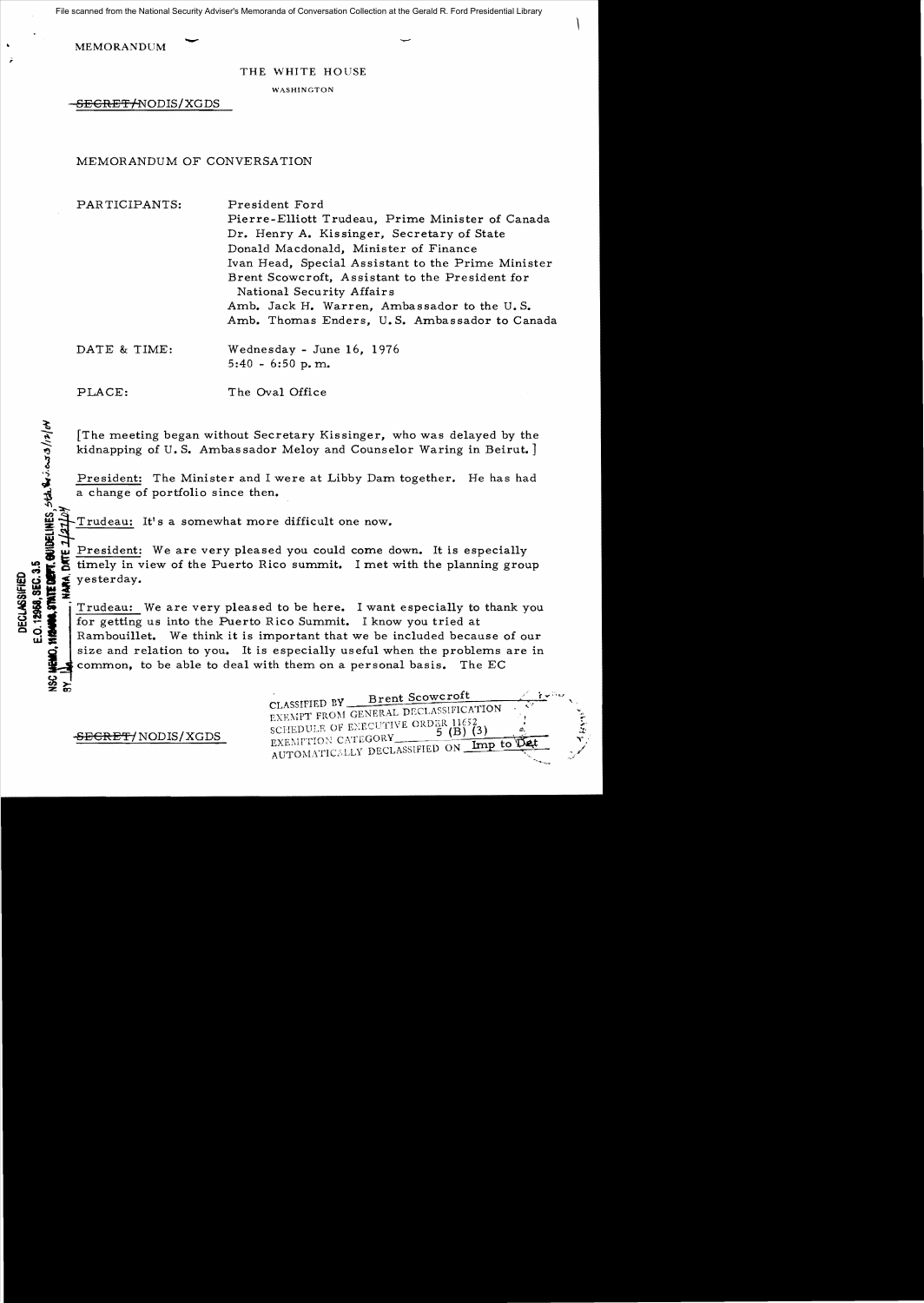File scanned from the National Security Adviser's Memoranda of Conversation Collection at the Gerald R. Ford Presidential Library

**MEMORANDUM** 

#### THE WHITE HOUSE

**WASHINGTON** 

SEGRET ANODIS/XGDS

### MEMORANDUM OF CONVERSATION

PARTICIPANTS: President Ford Pierre-Elliott Trudeau, Prime Minister of Canada Dr. Henry A. Kissinger, Secretary of State Donald Macdonald, Minister of Finance Ivan Head, Special Assistant to the Prime Minister Brent Scowcroft, Assistant to the President for National Security Affair s Amb. Jack H. Warren, Ambassador to the U. S. Amb. Thomas Enders, U. S. Ambassador to Canada

DATE & TIME: Wednesday - June 16, 1976 5:40 - 6:50 p. m.

 $\mathcal{F}$ 

 $\tilde{\phantom{a}}$ 

ا<br>ئى

 $\psi^*$ 

 $\frac{3}{2}$   $\frac{5}{2}$ 

PLACE: The Oval Office

The meeting began without Secretary Kissinger, who was delayed by the kidnapping of U.S. Ambassador Meloy and Counselor Waring in Beirut.

President: The Minister and I were at Libby Dam together. He has had a change of portfolio since then.

Trudeau: It's a somewhat more difficult one now.

**President:** We are very pleased you could come down. It is especially timely in view of the Puerto Rico summit. I met with the planning group

So timely in view of the Puerto Rico summit. I met with the planning group<br>
So the Puerto Rico summit. I met with the planning group<br>
So the Puerto Rico Summit. I want especially to thank you<br>
So the puerto Rico Summit. I  $\frac{33}{25}$   $\frac{33}{25}$   $\frac{33}{25}$   $\frac{33}{25}$   $\frac{33}{25}$   $\frac{33}{25}$   $\frac{1 \text{rudeau:}}{\text{for getting}}$ <del>»</del> ∞ . .<br>※ % … . I<br>… . . . . . Trudeau: We are very pleased to be here. I want especially to thank you  $\frac{3}{3}$   $\frac{3}{3}$   $\frac{3}{3}$   $\frac{1}{3}$  Trudeau: We are very pleased to be here. I want especially to  $\frac{3}{1}$  for getting us into the Puerto Rico Summit. I know you tried at Rambouillet. We think it is important that we be included because of our size and relation to you. It is especially useful when the problems are in common, to be able to deal with them on a personal basis. The EC

| CLASSIFIED BY <u>Prent</u> Scowcroft                          |  |
|---------------------------------------------------------------|--|
| EXEMPT FROM GENERAL DECLASSIFICATION                          |  |
| SCHEDULE OF EXECUTIVE ORDER 11652                             |  |
| EXEMITION CATEGORY                                            |  |
| $\mu$ Imp to $\mathbb{D}$ et<br>AUTOMATICALLY DECLASSIFIED ON |  |
|                                                               |  |

SEGRET/NODIS/XGDS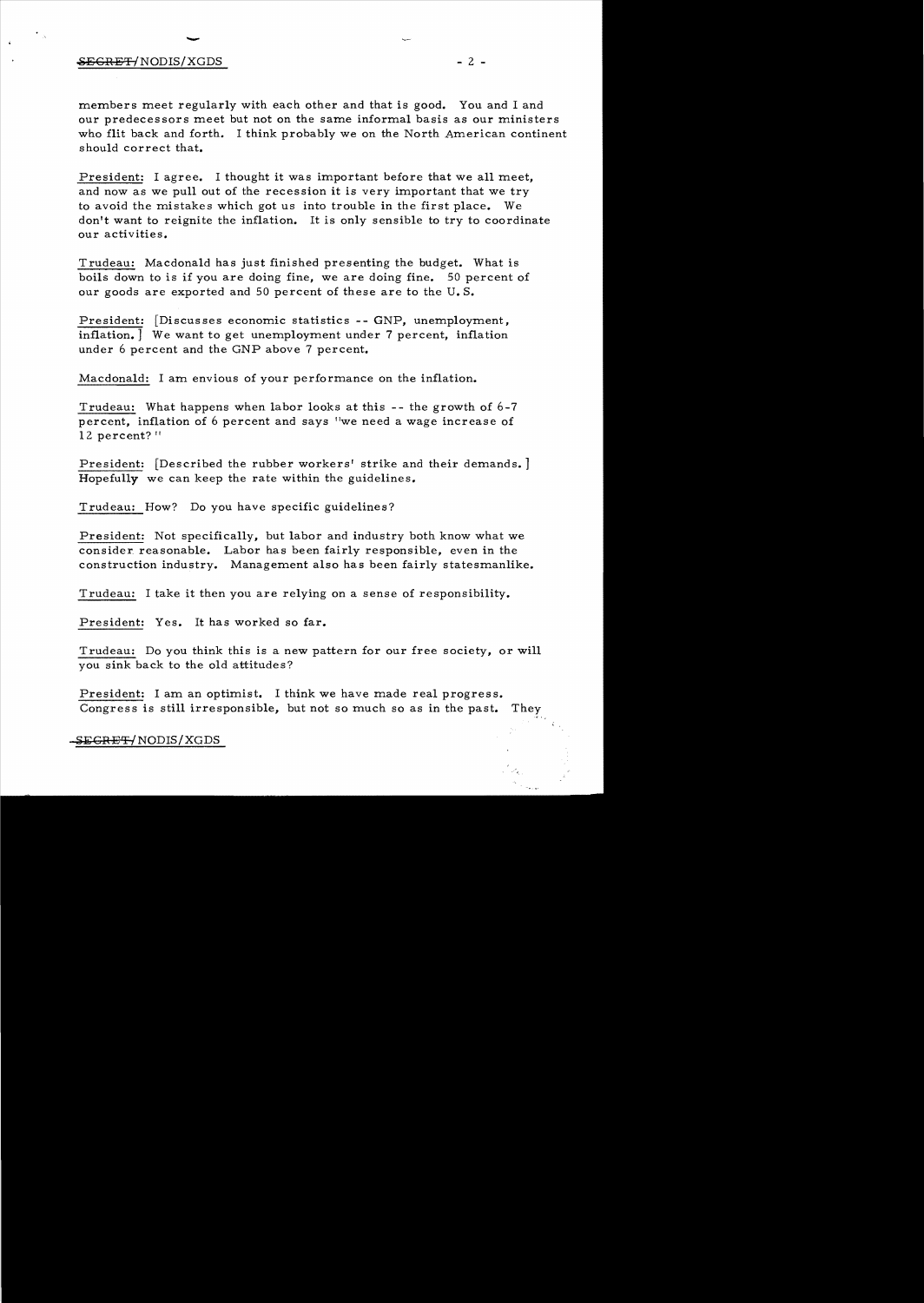## $\overline{ }$  $\overline{\text{SEGREFT}}$ /NODIS/XGDS - 2 -

members meet regularly with each other and that is good. You and I and our predecessors meet but not on the same informal basis as our ministers who flit back and forth. I think probably we on the North American continent should correct that.

President: I agree. I thought it was important before that we all meet, and now as we pull out of the recession it is very important that we try to avoid the mistakes which got us into trouble in the first place. We don't want to reignite the inflation. It is only sensible to try to coordinate our activities.

Trudeau: Macdonald has just finished presenting the budget. What is boils down to is if you are doing fine, we are doing fine. 50 percent of our goods are exported and 50 percent of these are to the U. S.

President: [Discusses economic statistics -- GNP, unemployment, inflation.] We want to get unemployment under 7 percent, inflation under 6 percent and the GNP above 7 percent.

Macdonald: I am envious of your performance on the inflation.

Trudeau: What happens when labor looks at this -- the growth of 6-7 percent, inflation of 6 percent and says "we need a wage increase of 12 percent?"

President: [Described the rubber workers' strike and their demands. ] Hopefully we can keep the rate within the guidelines.

Trudeau: How? Do you have specific guidelines?

President: Not specifically, but labor and industry both know what we consider. reasonable. Labor has been fairly responsible, even in the construction industry. Management also has been fairly statesmanlike.

Trudeau: I take it then you are relying on a sense of responsibility.

President: Yes. It has worked so far.

Trudeau: Do you think this is a new pattern for our free society, or will you sink back to the old attitudes?

President: I am an optimist. I think we have made real progress. Congress is still irresponsible, but not so much so as in the past. They

SEGRET/NODIS/XGDS

 $\ddot{\phantom{0}}$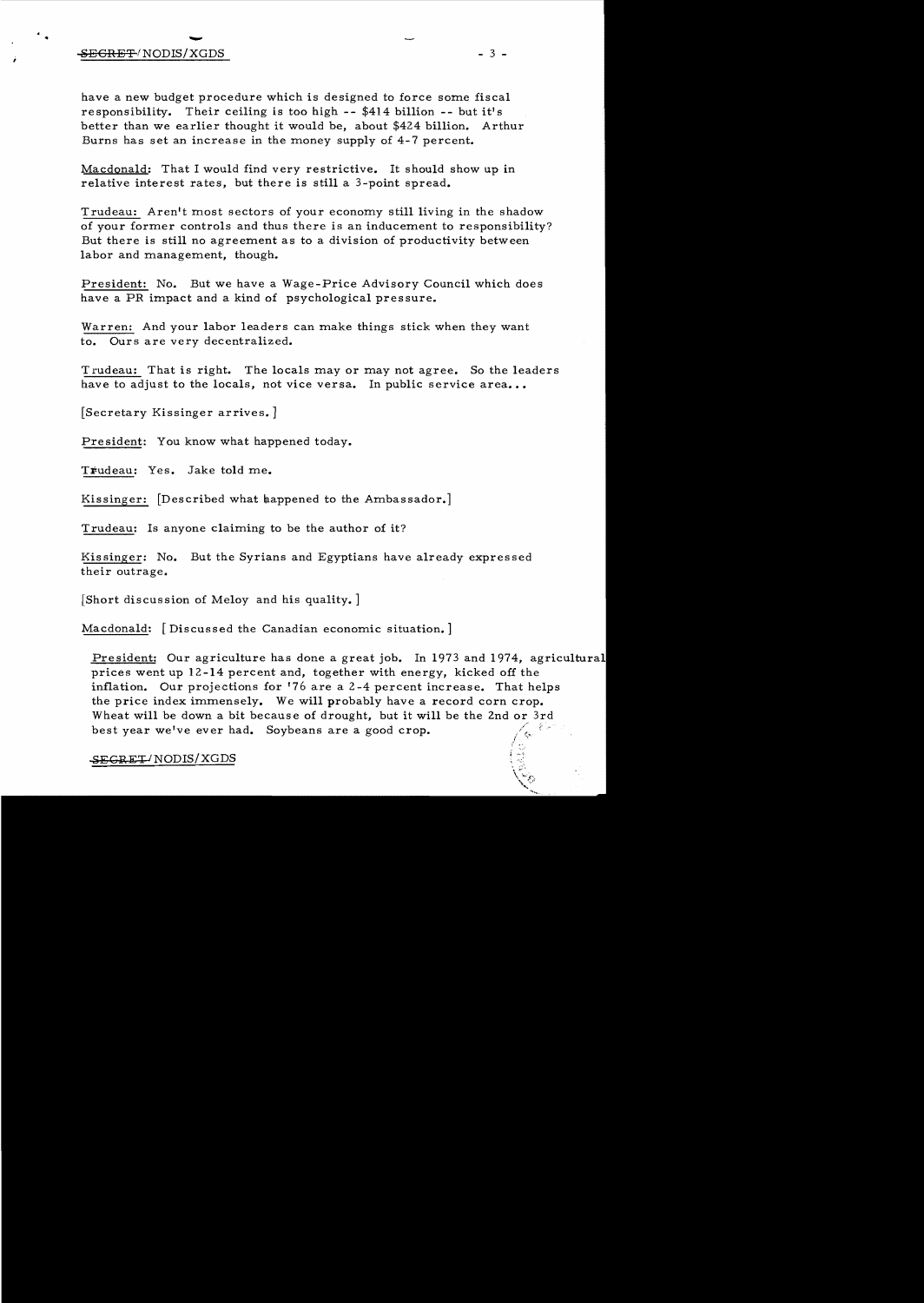# - <del>SECRET</del>/NODIS/XGDS

have a new budget procedure which is designed to force some fiscal responsibility. Their ceiling is too high -- \$414 billion -- but it's better than we earlier thought it would be, about \$424 billion. Arthur Burns has set an increase in the money supply of 4-7 percent.

Macdonald: That I would find very restrictive. It should show up in relative interest rates, but there is still a 3-point spread.

Trudeau: Aren't most sectors of your economy still living in the shadow of your former controls and thus there is an inducement to responsibility? But there is still no agreement as to a division of productivity between labor and management, though.

President: No. But we have a Wage-Price Advisory Council which does have a PR impact and a kind of psychological pressure.

Warren: And your labor leaders can make things stick when they want to. Ours are very decentralized.

Trudeau: That is right. The locals mayor may not agree. So the leaders have to adjust to the locals, not vice versa. In public service area...

[Secretary Kissinger arrives. ]

President: You know what happened today.

Trudeau: Yes. Jake told me.

Kissinger: [Described what happened to the Ambassador.]

Trudeau: Is anyone claiming to be the author of it?

Kissinger: No. But the Syrians and Egyptians have already expressed their outrage.

[Short discussion of Meloy and his quality. ]

Macdonald: [Discussed the Canadian economic situation. ]

President: Our agriculture has done a great job. In 1973 and 1974, agricultural prices went up 12 -14 percent and, together with energy, kicked off the inflation. Our projections for '76 are a 2-4 percent increase. That helps the price index immensely. We will probably have a record corn crop. Wheat will be down a bit because of drought, but it will be the 2nd or 3rd best year we've ever had. Soybeans are a good crop.

### ~EGP.ET *INODIS/XGDS*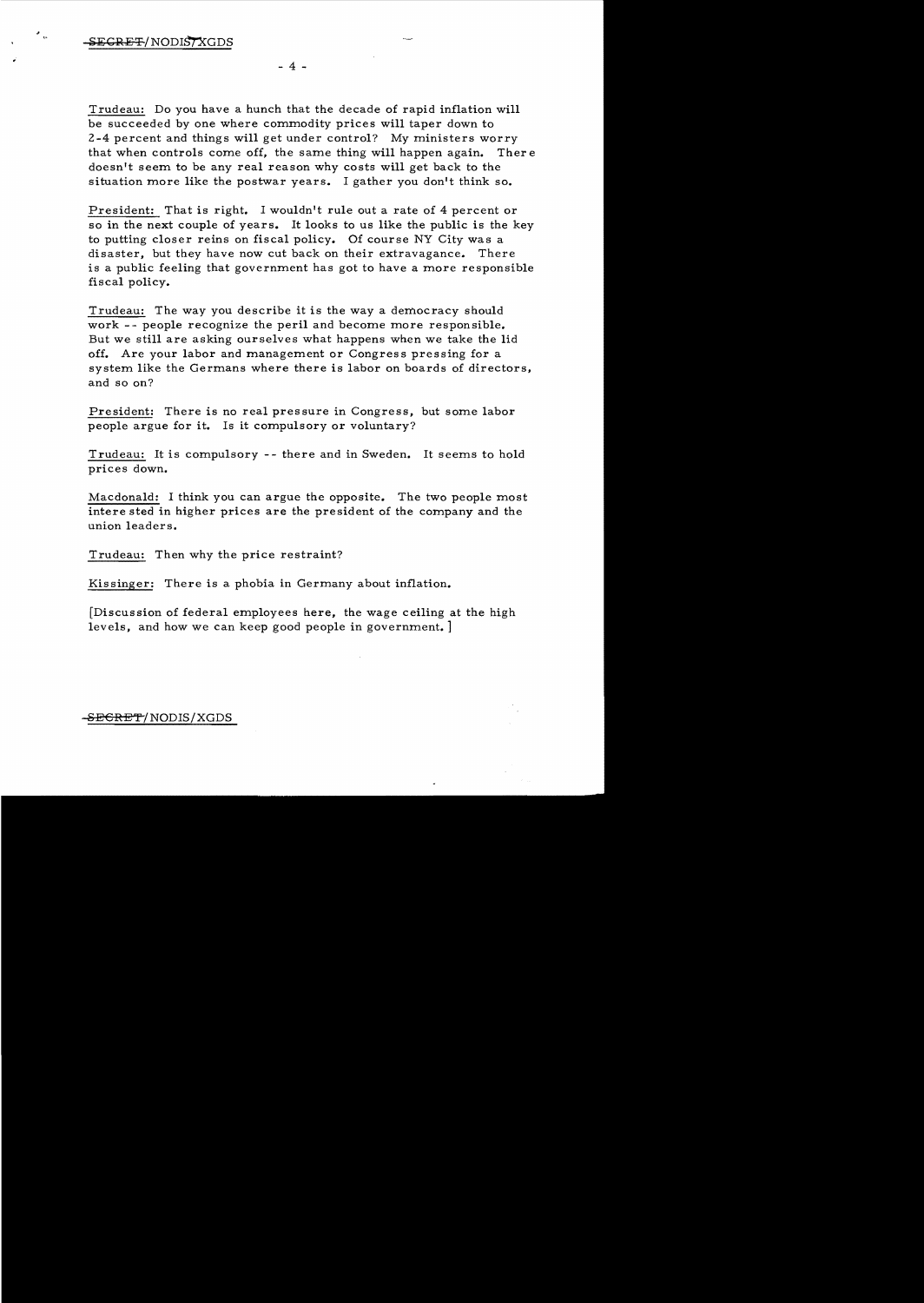$\frac{1}{2}$ 

Trudeau: Do you have a hunch that the decade of rapid inflation will be succeeded by one where commodity prices will taper down to 2-4 percent and things will get under control? My ministers worry that when controls come off, the same thing will happen again. Ther e doesn't seem to be any real reason why costs will get back to the situation more like the postwar years. I gather you don't think so.

 $-4 -$ 

President: That is right. I wouldn't rule out a rate of 4 percent or so in the next couple of years. It looks to us like the public is the key to putting closer reins on fiscal policy. Of course NY City was a disaster, but they have now cut back on their extravagance. There is a public feeling that government has got to have a more responsible fiscal policy.

Trudeau: The way you describe it is the way a democracy should work -- people recognize the peril and become more responsible. But we still are asking ourselves what happens when we take the lid off. Are your labor and management or Congress pressing for a system like the Germans where there is labor on boards of directors, and so on?

President: There is no real pressure in Congress, but some labor people argue for it. Is it compulsory or voluntary?

Trudeau: It is compulsory -- there and in Sweden. It seems to hold prices down.

Macdonald: I think you can argue the opposite. The two people most intere sted in higher prices are the president of the company and the union leaders.

Trudeau: Then why the price restraint?

Kissinger: There is a phobia in Germany about inflation.

[Discussion of federal employees here. the wage ceiling at the high levels, and how we can keep good people in government. ]

### S<del>ECRET</del>/NODIS/XGDS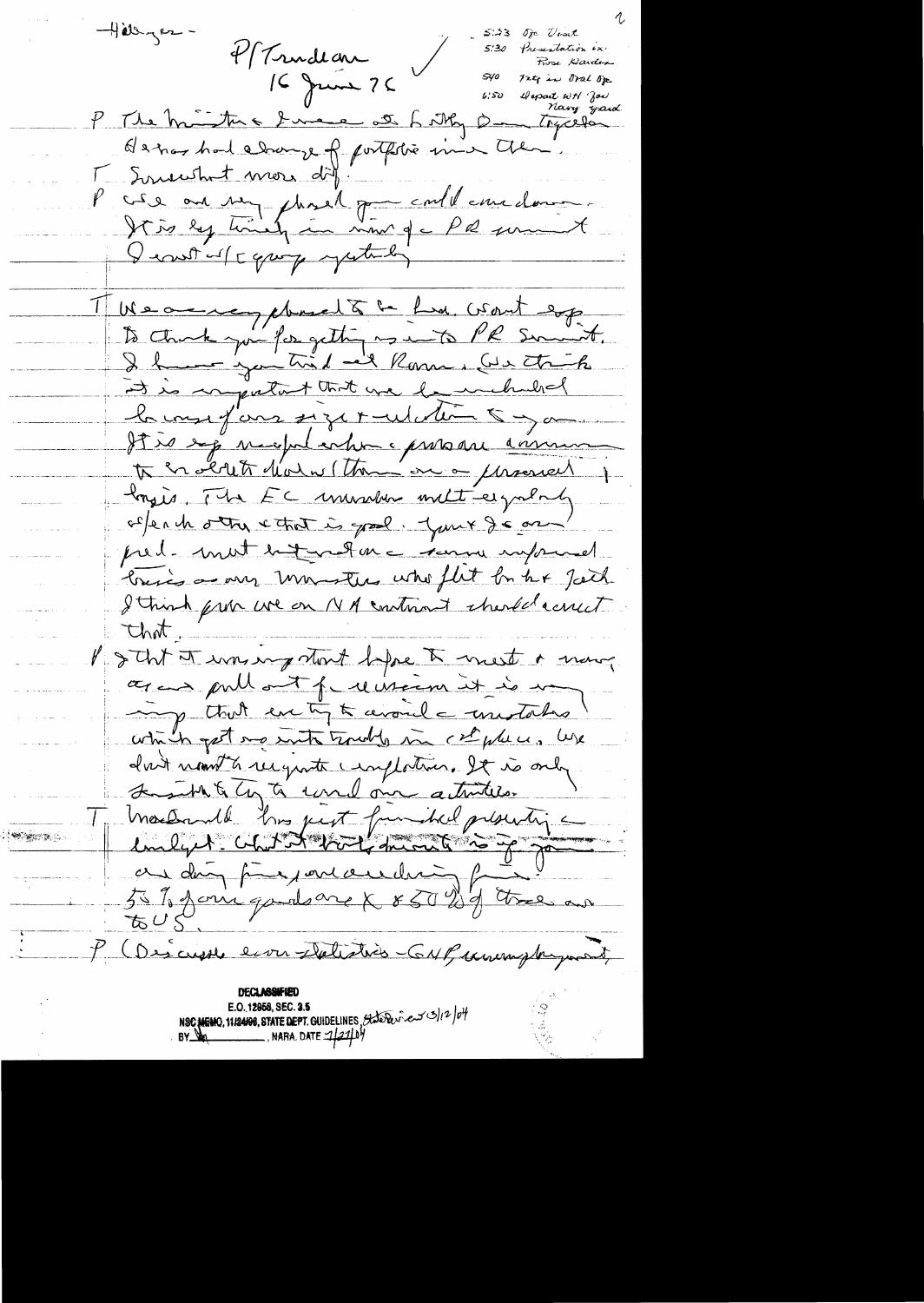Hillyer-Oje Voort Presentation in 4/ Trudian Rose Darden  $S$ yo nto in oral op IC June 76 Depart WH 'Joe<br>Novey yard  $6.50$ P The minture I me at Litty Dan Trycela Hanos had adams of portition in the P cre au my phase dans coule une dans I control capity yesterday 1 Meaning Moral & C La Csout esp to think joint for getting us in PR smart. it is inputant that we be included la vous fans siget ulation 5 mai It is exp neeplanter present annum to en about d'ains (tous au a personnel longers. The EC ununder melt eigalal offende other cthat is good. Your Jean pred-mut betwelme somme unprevel bris a any monters who flut by he fack I think from we on NA continued thered could that Portit of was my start before I mest a mong agan pullat precision it is un ing that every to avoule unitation which get me with trouble in ch plus, We don't nomt à reignate complation. It is only Laith & Cy to concl one attribute machenel hus just funded presentig au doin proponent est defitier au あひく P (Descripte eron Delistice GNP comme payment E.O. 12958, SEC. 3.5 NSC MEMO, 11/24198, STATE DEPT. GUIDELINES, State Deviced 3/12/04<br>BY DA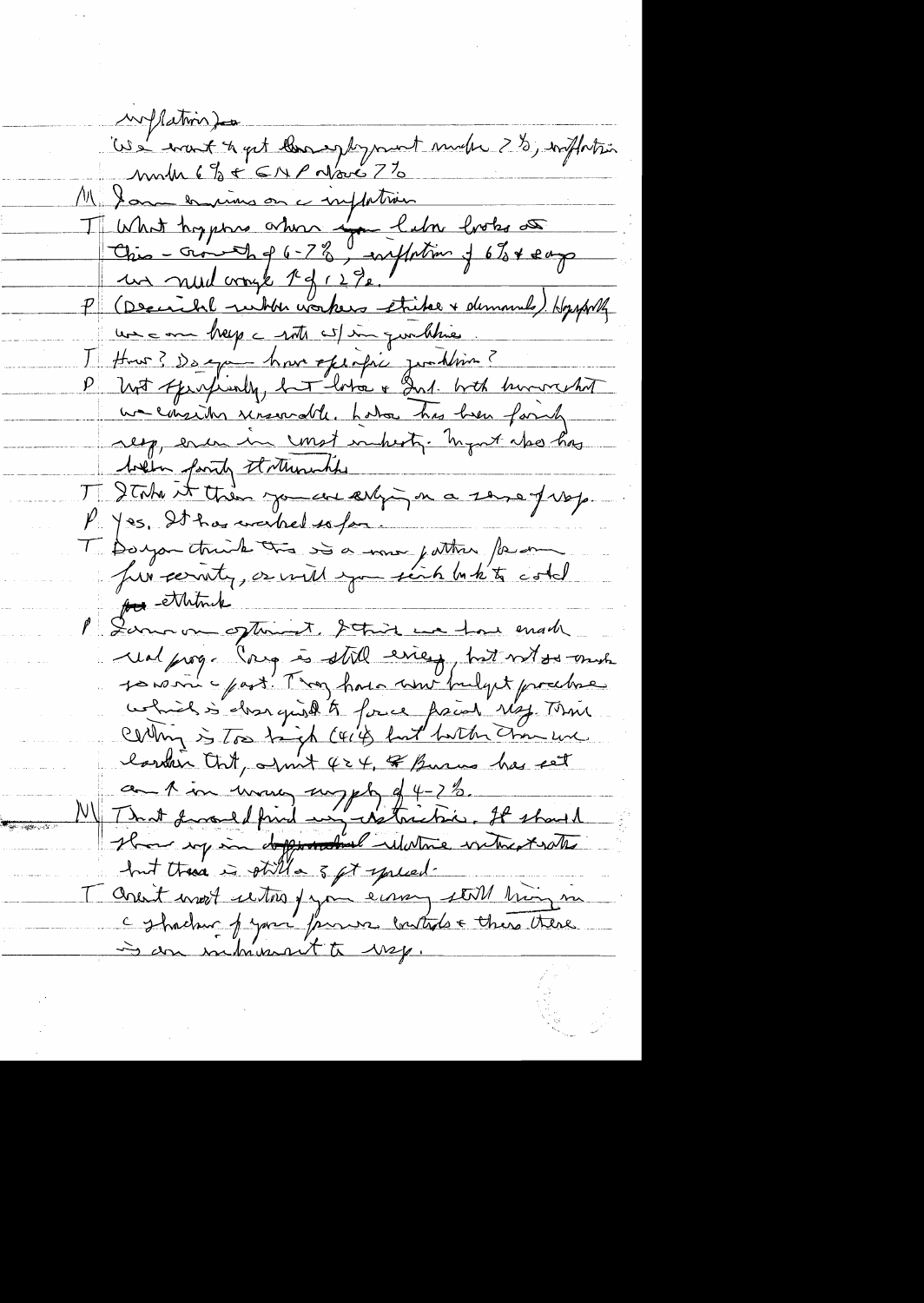wiflation) les a manifest quite blooming to promote marcher 2 %, inflation month 6% + CNP Nove 7% M Jam en mins on a inflation T What hyptoxes ordered false looks de P (Decicle when workers strike + demands) Hopperty une on help a roth wil in quellines How? De exa hour effective junktion? P host spinfinly, hat look & Ind. both humoreshit we consider unsorable, holes has been formly resp, eren in const inherty. Ingert also has when faith therewhile T State it then you we esting on a sense of vop. P. yes, It has weiked so far. T Dougon ctriude tre soie une jutter faire pu ethink Lamour optiment, Strink we have made und prog. Coup is still eries, hat with my 10 romme part. Thou have more fuelget prochae which is close quick to force from Ng. That Culling is too bigh (414) but butter chan une larden Ont, april 424, of Busines has set and in ward myth of 4-2%.<br>That fromed find un astachie. It should Home my in dependent whatie without with but there is gtill a 5 gt spread. Orest most retors pour écour sent trois me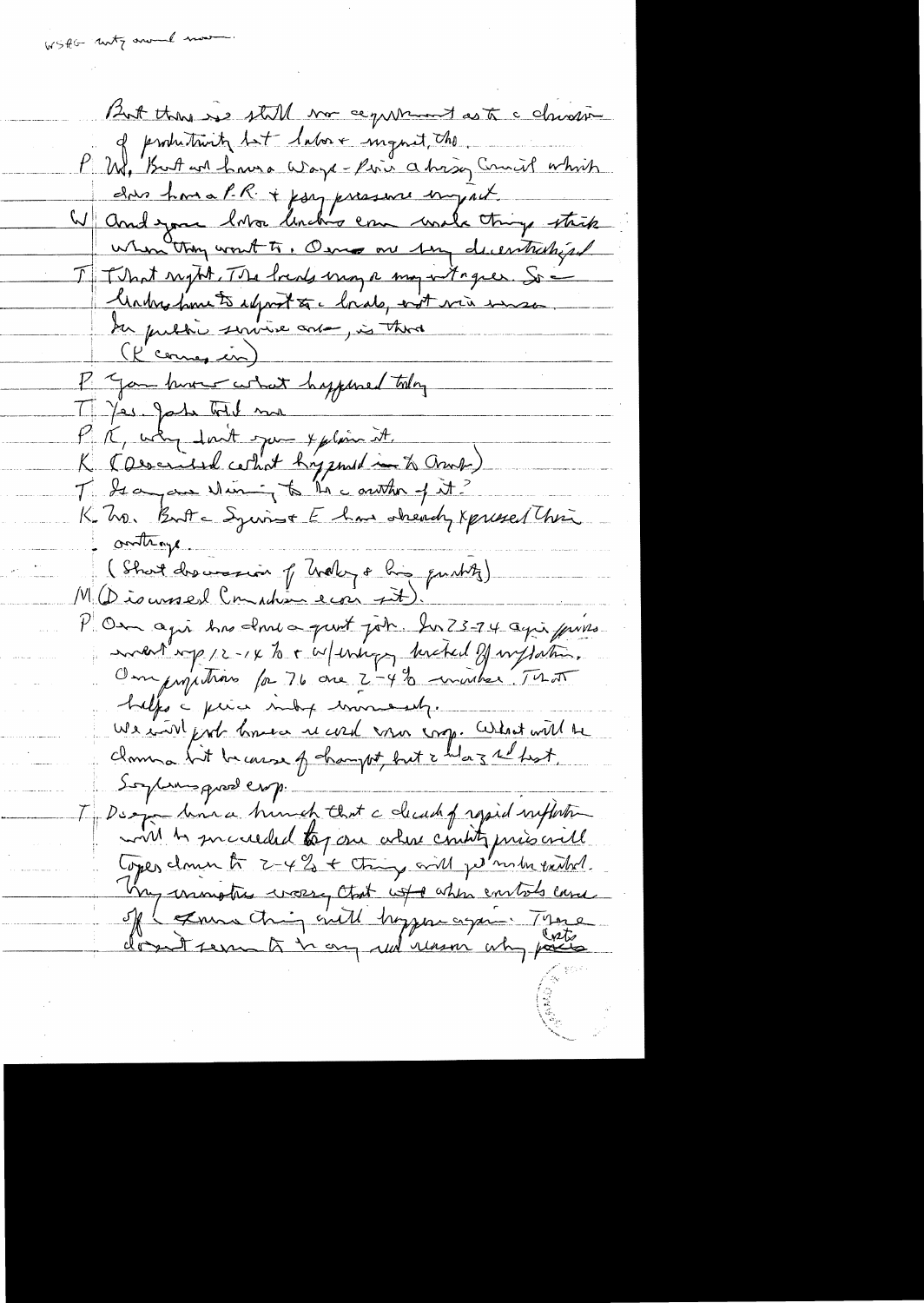WSAG noty around more

But there is still no capitaint as to a chicare of productionty but labore ingent, the W, But we have Ways-fire a his Council which ches hou a P.R. + joy pressore emport W and you love linch's come work things strik when they won't to, Osmo on sun decentralized I That sught, The locals may a may writinger. So -Make from to adjoint to clouds, int via mese du public service avec, is there (l'connes in) P You hum what hypered today T Yes John Told more P. K. why don't jum y plain it. K Courried certist hypondien & Cruel) K. 20. But a Syrist E has sheady xpressed this outhough (Short dre version of Traky a line purtite) P On agir has done a pust joh. In 73-74 agir purs endate up 12-14 to + w/ unique hacked of wiffation. Ompropositions for 76 are 2-4% universitat helps a price may concernly. We will prob know is well were crop. What will be clame lit because of champet, but & helaz re hist. Soylim quel crop Desgardina hunch that a deach of repid within will be succeeded tog one where county prisonall Copes down to 2-4% + thing will permiss exited. Vry unimative worse that with when entites care of I general thing will hoppen again There